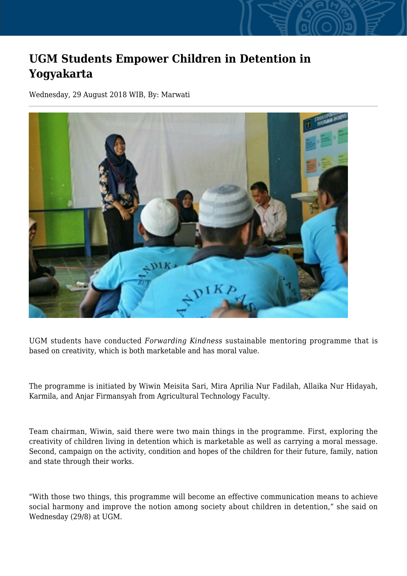## **UGM Students Empower Children in Detention in Yogyakarta**

Wednesday, 29 August 2018 WIB, By: Marwati



UGM students have conducted *Forwarding Kindness* sustainable mentoring programme that is based on creativity, which is both marketable and has moral value.

The programme is initiated by Wiwin Meisita Sari, Mira Aprilia Nur Fadilah, Allaika Nur Hidayah, Karmila, and Anjar Firmansyah from Agricultural Technology Faculty.

Team chairman, Wiwin, said there were two main things in the programme. First, exploring the creativity of children living in detention which is marketable as well as carrying a moral message. Second, campaign on the activity, condition and hopes of the children for their future, family, nation and state through their works.

"With those two things, this programme will become an effective communication means to achieve social harmony and improve the notion among society about children in detention," she said on Wednesday (29/8) at UGM.